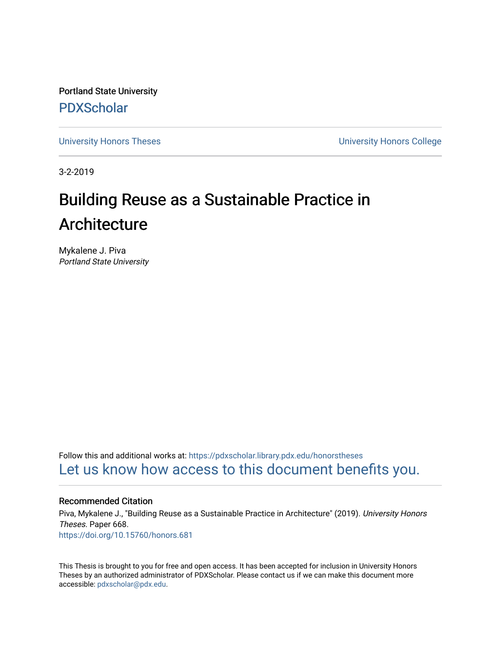Portland State University [PDXScholar](https://pdxscholar.library.pdx.edu/)

[University Honors Theses](https://pdxscholar.library.pdx.edu/honorstheses) [University Honors College](https://pdxscholar.library.pdx.edu/honors) 

3-2-2019

# Building Reuse as a Sustainable Practice in Architecture

Mykalene J. Piva Portland State University

Follow this and additional works at: [https://pdxscholar.library.pdx.edu/honorstheses](https://pdxscholar.library.pdx.edu/honorstheses?utm_source=pdxscholar.library.pdx.edu%2Fhonorstheses%2F668&utm_medium=PDF&utm_campaign=PDFCoverPages)  [Let us know how access to this document benefits you.](http://library.pdx.edu/services/pdxscholar-services/pdxscholar-feedback/) 

# Recommended Citation

Piva, Mykalene J., "Building Reuse as a Sustainable Practice in Architecture" (2019). University Honors Theses. Paper 668. <https://doi.org/10.15760/honors.681>

This Thesis is brought to you for free and open access. It has been accepted for inclusion in University Honors Theses by an authorized administrator of PDXScholar. Please contact us if we can make this document more accessible: [pdxscholar@pdx.edu.](mailto:pdxscholar@pdx.edu)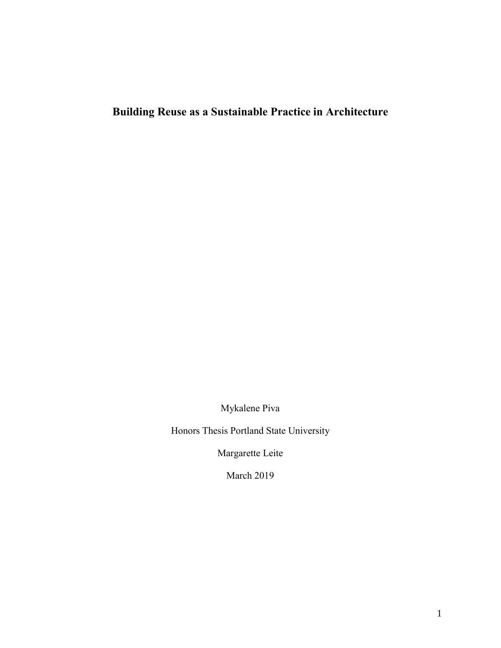# <span id="page-1-0"></span>**Building Reuse as a Sustainable Practice in Architecture**

Mykalene Piva

Honors Thesis Portland State University

Margarette Leite

March 2019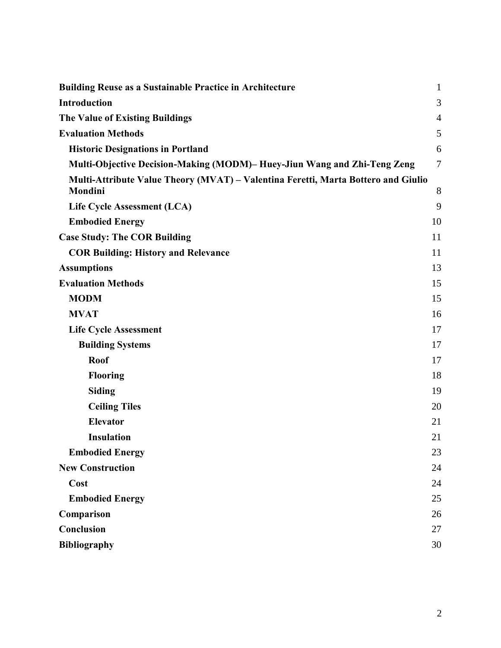| <b>Building Reuse as a Sustainable Practice in Architecture</b>                              | $\mathbf{1}$   |
|----------------------------------------------------------------------------------------------|----------------|
| <b>Introduction</b>                                                                          | 3              |
| <b>The Value of Existing Buildings</b>                                                       | $\overline{4}$ |
| <b>Evaluation Methods</b>                                                                    | 5              |
| <b>Historic Designations in Portland</b>                                                     | 6              |
| Multi-Objective Decision-Making (MODM)– Huey-Jiun Wang and Zhi-Teng Zeng                     | $\overline{7}$ |
| Multi-Attribute Value Theory (MVAT) - Valentina Feretti, Marta Bottero and Giulio<br>Mondini | 8              |
| Life Cycle Assessment (LCA)                                                                  | 9              |
| <b>Embodied Energy</b>                                                                       | 10             |
| <b>Case Study: The COR Building</b>                                                          | 11             |
| <b>COR Building: History and Relevance</b>                                                   | 11             |
| <b>Assumptions</b>                                                                           | 13             |
| <b>Evaluation Methods</b>                                                                    | 15             |
| <b>MODM</b>                                                                                  | 15             |
| <b>MVAT</b>                                                                                  | 16             |
| <b>Life Cycle Assessment</b>                                                                 | 17             |
| <b>Building Systems</b>                                                                      | 17             |
| <b>Roof</b>                                                                                  | 17             |
| <b>Flooring</b>                                                                              | 18             |
| <b>Siding</b>                                                                                | 19             |
| <b>Ceiling Tiles</b>                                                                         | 20             |
| <b>Elevator</b>                                                                              | 21             |
| <b>Insulation</b>                                                                            | 21             |
| <b>Embodied Energy</b>                                                                       | 23             |
| <b>New Construction</b>                                                                      | 24             |
| Cost                                                                                         | 24             |
| <b>Embodied Energy</b>                                                                       | 25             |
| Comparison                                                                                   | 26             |
| Conclusion                                                                                   | 27             |
| <b>Bibliography</b>                                                                          | 30             |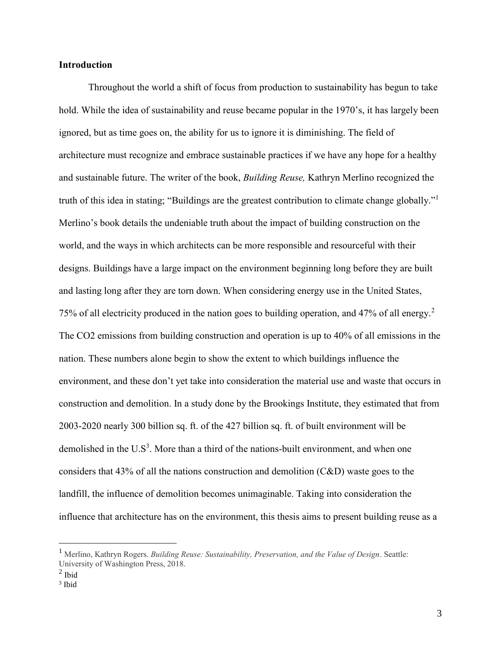# <span id="page-3-0"></span>**Introduction**

Throughout the world a shift of focus from production to sustainability has begun to take hold. While the idea of sustainability and reuse became popular in the 1970's, it has largely been ignored, but as time goes on, the ability for us to ignore it is diminishing. The field of architecture must recognize and embrace sustainable practices if we have any hope for a healthy and sustainable future. The writer of the book, *Building Reuse,* Kathryn Merlino recognized the truth of this idea in stating; "Buildings are the greatest contribution to climate change globally."<sup>1</sup> Merlino's book details the undeniable truth about the impact of building construction on the world, and the ways in which architects can be more responsible and resourceful with their designs. Buildings have a large impact on the environment beginning long before they are built and lasting long after they are torn down. When considering energy use in the United States, 75% of all electricity produced in the nation goes to building operation, and 47% of all energy.<sup>2</sup> The CO2 emissions from building construction and operation is up to 40% of all emissions in the nation. These numbers alone begin to show the extent to which buildings influence the environment, and these don't yet take into consideration the material use and waste that occurs in construction and demolition. In a study done by the Brookings Institute, they estimated that from 2003-2020 nearly 300 billion sq. ft. of the 427 billion sq. ft. of built environment will be demolished in the  $U.S^3$ . More than a third of the nations-built environment, and when one considers that 43% of all the nations construction and demolition (C&D) waste goes to the landfill, the influence of demolition becomes unimaginable. Taking into consideration the influence that architecture has on the environment, this thesis aims to present building reuse as a

<sup>1</sup> Merlino, Kathryn Rogers. *Building Reuse: Sustainability, Preservation, and the Value of Design*. Seattle: University of Washington Press, 2018.

 $<sup>2</sup>$  Ibid</sup>

<sup>3</sup> Ibid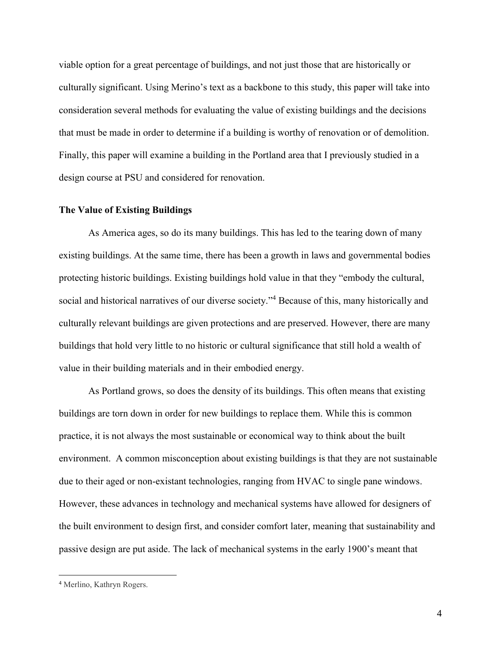viable option for a great percentage of buildings, and not just those that are historically or culturally significant. Using Merino's text as a backbone to this study, this paper will take into consideration several methods for evaluating the value of existing buildings and the decisions that must be made in order to determine if a building is worthy of renovation or of demolition. Finally, this paper will examine a building in the Portland area that I previously studied in a design course at PSU and considered for renovation.

## <span id="page-4-0"></span>**The Value of Existing Buildings**

As America ages, so do its many buildings. This has led to the tearing down of many existing buildings. At the same time, there has been a growth in laws and governmental bodies protecting historic buildings. Existing buildings hold value in that they "embody the cultural, social and historical narratives of our diverse society."<sup>4</sup> Because of this, many historically and culturally relevant buildings are given protections and are preserved. However, there are many buildings that hold very little to no historic or cultural significance that still hold a wealth of value in their building materials and in their embodied energy.

As Portland grows, so does the density of its buildings. This often means that existing buildings are torn down in order for new buildings to replace them. While this is common practice, it is not always the most sustainable or economical way to think about the built environment. A common misconception about existing buildings is that they are not sustainable due to their aged or non-existant technologies, ranging from HVAC to single pane windows. However, these advances in technology and mechanical systems have allowed for designers of the built environment to design first, and consider comfort later, meaning that sustainability and passive design are put aside. The lack of mechanical systems in the early 1900's meant that

<sup>4</sup> Merlino, Kathryn Rogers.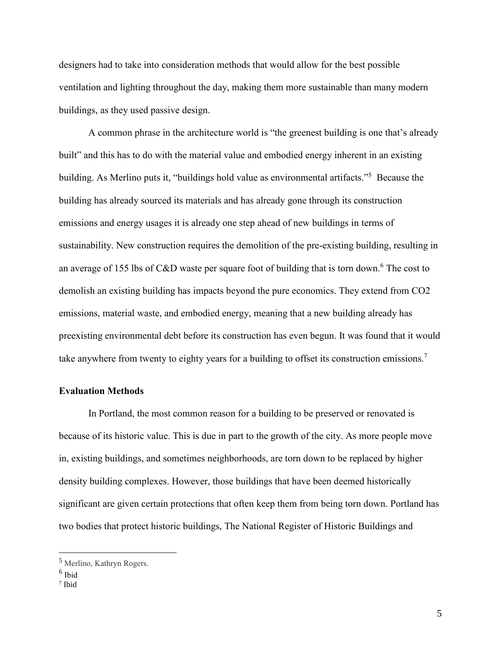designers had to take into consideration methods that would allow for the best possible ventilation and lighting throughout the day, making them more sustainable than many modern buildings, as they used passive design.

A common phrase in the architecture world is "the greenest building is one that's already built" and this has to do with the material value and embodied energy inherent in an existing building. As Merlino puts it, "buildings hold value as environmental artifacts."<sup>5</sup> Because the building has already sourced its materials and has already gone through its construction emissions and energy usages it is already one step ahead of new buildings in terms of sustainability. New construction requires the demolition of the pre-existing building, resulting in an average of 155 lbs of C&D waste per square foot of building that is torn down.<sup>6</sup> The cost to demolish an existing building has impacts beyond the pure economics. They extend from CO2 emissions, material waste, and embodied energy, meaning that a new building already has preexisting environmental debt before its construction has even begun. It was found that it would take anywhere from twenty to eighty years for a building to offset its construction emissions.<sup>7</sup>

### <span id="page-5-0"></span>**Evaluation Methods**

In Portland, the most common reason for a building to be preserved or renovated is because of its historic value. This is due in part to the growth of the city. As more people move in, existing buildings, and sometimes neighborhoods, are torn down to be replaced by higher density building complexes. However, those buildings that have been deemed historically significant are given certain protections that often keep them from being torn down. Portland has two bodies that protect historic buildings, The National Register of Historic Buildings and

<sup>5</sup> Merlino, Kathryn Rogers.

<sup>6</sup> Ibid

<sup>7</sup> Ibid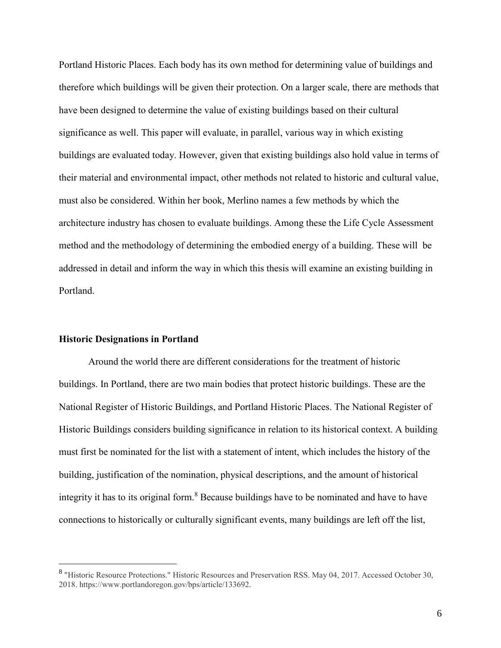Portland Historic Places. Each body has its own method for determining value of buildings and therefore which buildings will be given their protection. On a larger scale, there are methods that have been designed to determine the value of existing buildings based on their cultural significance as well. This paper will evaluate, in parallel, various way in which existing buildings are evaluated today. However, given that existing buildings also hold value in terms of their material and environmental impact, other methods not related to historic and cultural value, must also be considered. Within her book, Merlino names a few methods by which the architecture industry has chosen to evaluate buildings. Among these the Life Cycle Assessment method and the methodology of determining the embodied energy of a building. These will be addressed in detail and inform the way in which this thesis will examine an existing building in Portland.

# <span id="page-6-0"></span>**Historic Designations in Portland**

 $\overline{a}$ 

Around the world there are different considerations for the treatment of historic buildings. In Portland, there are two main bodies that protect historic buildings. These are the National Register of Historic Buildings, and Portland Historic Places. The National Register of Historic Buildings considers building significance in relation to its historical context. A building must first be nominated for the list with a statement of intent, which includes the history of the building, justification of the nomination, physical descriptions, and the amount of historical integrity it has to its original form.<sup>8</sup> Because buildings have to be nominated and have to have connections to historically or culturally significant events, many buildings are left off the list,

<sup>&</sup>lt;sup>8</sup> "Historic Resource Protections." Historic Resources and Preservation RSS. May 04, 2017. Accessed October 30, 2018. https://www.portlandoregon.gov/bps/article/133692.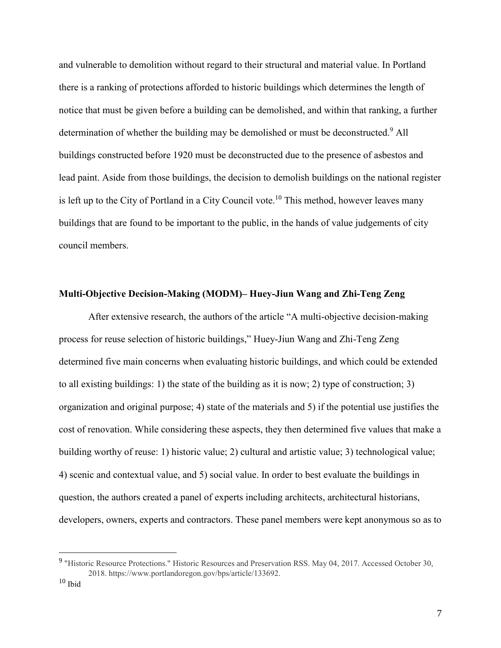and vulnerable to demolition without regard to their structural and material value. In Portland there is a ranking of protections afforded to historic buildings which determines the length of notice that must be given before a building can be demolished, and within that ranking, a further determination of whether the building may be demolished or must be deconstructed.<sup>9</sup> All buildings constructed before 1920 must be deconstructed due to the presence of asbestos and lead paint. Aside from those buildings, the decision to demolish buildings on the national register is left up to the City of Portland in a City Council vote.<sup>10</sup> This method, however leaves many buildings that are found to be important to the public, in the hands of value judgements of city council members.

## <span id="page-7-0"></span>**Multi-Objective Decision-Making (MODM)– Huey-Jiun Wang and Zhi-Teng Zeng**

After extensive research, the authors of the article "A multi-objective decision-making process for reuse selection of historic buildings," Huey-Jiun Wang and Zhi-Teng Zeng determined five main concerns when evaluating historic buildings, and which could be extended to all existing buildings: 1) the state of the building as it is now; 2) type of construction; 3) organization and original purpose; 4) state of the materials and 5) if the potential use justifies the cost of renovation. While considering these aspects, they then determined five values that make a building worthy of reuse: 1) historic value; 2) cultural and artistic value; 3) technological value; 4) scenic and contextual value, and 5) social value. In order to best evaluate the buildings in question, the authors created a panel of experts including architects, architectural historians, developers, owners, experts and contractors. These panel members were kept anonymous so as to

<sup>&</sup>lt;sup>9</sup> "Historic Resource Protections." Historic Resources and Preservation RSS. May 04, 2017. Accessed October 30, 2018. https://www.portlandoregon.gov/bps/article/133692.

 $\rm ^{10}$  Ibid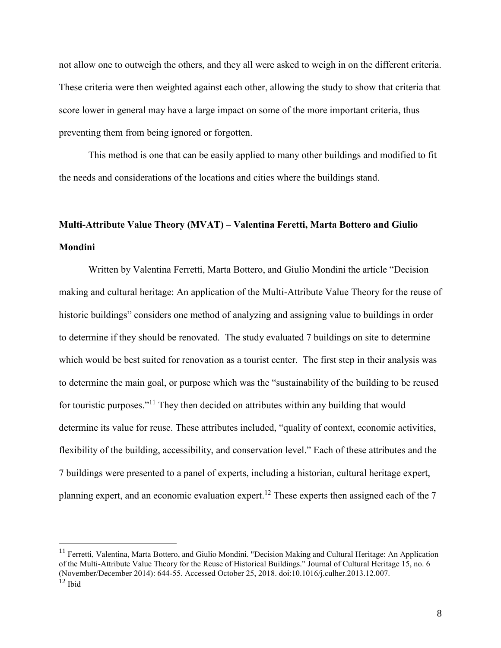not allow one to outweigh the others, and they all were asked to weigh in on the different criteria. These criteria were then weighted against each other, allowing the study to show that criteria that score lower in general may have a large impact on some of the more important criteria, thus preventing them from being ignored or forgotten.

This method is one that can be easily applied to many other buildings and modified to fit the needs and considerations of the locations and cities where the buildings stand.

# <span id="page-8-0"></span>**Multi-Attribute Value Theory (MVAT) – Valentina Feretti, Marta Bottero and Giulio Mondini**

Written by Valentina Ferretti, Marta Bottero, and Giulio Mondini the article "Decision making and cultural heritage: An application of the Multi-Attribute Value Theory for the reuse of historic buildings" considers one method of analyzing and assigning value to buildings in order to determine if they should be renovated. The study evaluated 7 buildings on site to determine which would be best suited for renovation as a tourist center. The first step in their analysis was to determine the main goal, or purpose which was the "sustainability of the building to be reused for touristic purposes."<sup>11</sup> They then decided on attributes within any building that would determine its value for reuse. These attributes included, "quality of context, economic activities, flexibility of the building, accessibility, and conservation level." Each of these attributes and the 7 buildings were presented to a panel of experts, including a historian, cultural heritage expert, planning expert, and an economic evaluation expert.<sup>12</sup> These experts then assigned each of the 7

 $11$  Ferretti, Valentina, Marta Bottero, and Giulio Mondini. "Decision Making and Cultural Heritage: An Application of the Multi-Attribute Value Theory for the Reuse of Historical Buildings." Journal of Cultural Heritage 15, no. 6 (November/December 2014): 644-55. Accessed October 25, 2018. doi:10.1016/j.culher.2013.12.007.  $12$  Ibid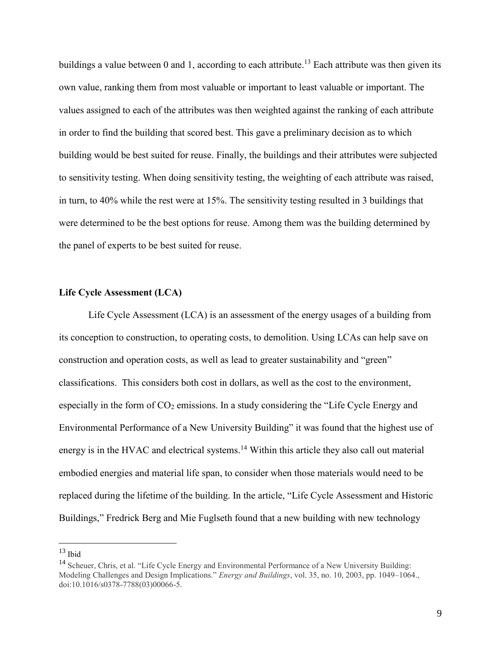buildings a value between 0 and 1, according to each attribute.<sup>13</sup> Each attribute was then given its own value, ranking them from most valuable or important to least valuable or important. The values assigned to each of the attributes was then weighted against the ranking of each attribute in order to find the building that scored best. This gave a preliminary decision as to which building would be best suited for reuse. Finally, the buildings and their attributes were subjected to sensitivity testing. When doing sensitivity testing, the weighting of each attribute was raised, in turn, to 40% while the rest were at 15%. The sensitivity testing resulted in 3 buildings that were determined to be the best options for reuse. Among them was the building determined by the panel of experts to be best suited for reuse.

# <span id="page-9-0"></span>**Life Cycle Assessment (LCA)**

Life Cycle Assessment (LCA) is an assessment of the energy usages of a building from its conception to construction, to operating costs, to demolition. Using LCAs can help save on construction and operation costs, as well as lead to greater sustainability and "green" classifications. This considers both cost in dollars, as well as the cost to the environment, especially in the form of  $CO<sub>2</sub>$  emissions. In a study considering the "Life Cycle Energy and Environmental Performance of a New University Building" it was found that the highest use of energy is in the HVAC and electrical systems.<sup>14</sup> Within this article they also call out material embodied energies and material life span, to consider when those materials would need to be replaced during the lifetime of the building. In the article, "Life Cycle Assessment and Historic Buildings," Fredrick Berg and Mie Fuglseth found that a new building with new technology

 $13$  Ibid

<sup>&</sup>lt;sup>14</sup> Scheuer, Chris, et al. "Life Cycle Energy and Environmental Performance of a New University Building: Modeling Challenges and Design Implications." *Energy and Buildings*, vol. 35, no. 10, 2003, pp. 1049–1064., doi:10.1016/s0378-7788(03)00066-5.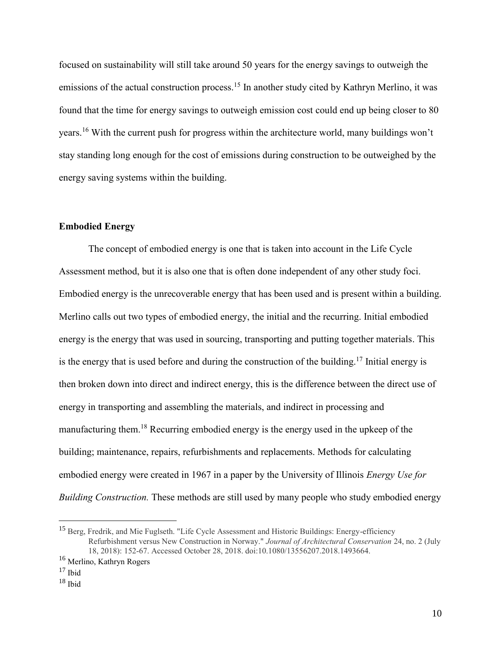focused on sustainability will still take around 50 years for the energy savings to outweigh the emissions of the actual construction process.<sup>15</sup> In another study cited by Kathryn Merlino, it was found that the time for energy savings to outweigh emission cost could end up being closer to 80 years.<sup>16</sup> With the current push for progress within the architecture world, many buildings won't stay standing long enough for the cost of emissions during construction to be outweighed by the energy saving systems within the building.

# <span id="page-10-0"></span>**Embodied Energy**

The concept of embodied energy is one that is taken into account in the Life Cycle Assessment method, but it is also one that is often done independent of any other study foci. Embodied energy is the unrecoverable energy that has been used and is present within a building. Merlino calls out two types of embodied energy, the initial and the recurring. Initial embodied energy is the energy that was used in sourcing, transporting and putting together materials. This is the energy that is used before and during the construction of the building.<sup>17</sup> Initial energy is then broken down into direct and indirect energy, this is the difference between the direct use of energy in transporting and assembling the materials, and indirect in processing and manufacturing them.<sup>18</sup> Recurring embodied energy is the energy used in the upkeep of the building; maintenance, repairs, refurbishments and replacements. Methods for calculating embodied energy were created in 1967 in a paper by the University of Illinois *Energy Use for Building Construction.* These methods are still used by many people who study embodied energy

<sup>&</sup>lt;sup>15</sup> Berg, Fredrik, and Mie Fuglseth. "Life Cycle Assessment and Historic Buildings: Energy-efficiency Refurbishment versus New Construction in Norway." *Journal of Architectural Conservation* 24, no. 2 (July 18, 2018): 152-67. Accessed October 28, 2018. doi:10.1080/13556207.2018.1493664.

<sup>&</sup>lt;sup>16</sup> Merlino, Kathryn Rogers

 $17$  Ibid

 $18$  Ibid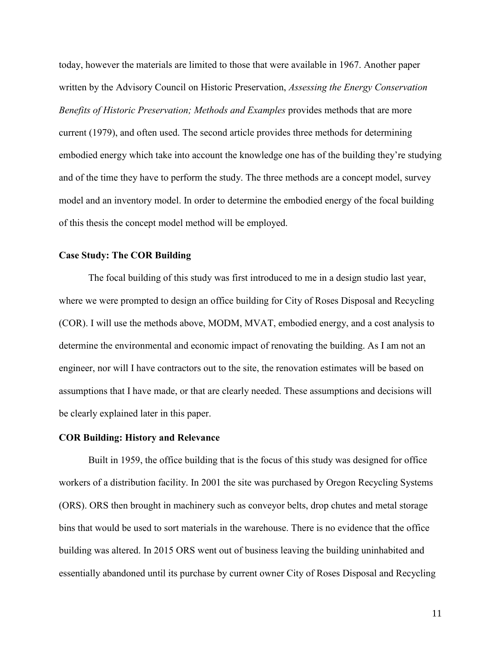today, however the materials are limited to those that were available in 1967. Another paper written by the Advisory Council on Historic Preservation, *Assessing the Energy Conservation Benefits of Historic Preservation; Methods and Examples* provides methods that are more current (1979), and often used. The second article provides three methods for determining embodied energy which take into account the knowledge one has of the building they're studying and of the time they have to perform the study. The three methods are a concept model, survey model and an inventory model. In order to determine the embodied energy of the focal building of this thesis the concept model method will be employed.

#### <span id="page-11-0"></span>**Case Study: The COR Building**

<span id="page-11-1"></span>The focal building of this study was first introduced to me in a design studio last year, where we were prompted to design an office building for City of Roses Disposal and Recycling (COR). I will use the methods above, MODM, MVAT, embodied energy, and a cost analysis to determine the environmental and economic impact of renovating the building. As I am not an engineer, nor will I have contractors out to the site, the renovation estimates will be based on assumptions that I have made, or that are clearly needed. These assumptions and decisions will be clearly explained later in this paper.

#### **COR Building: History and Relevance**

Built in 1959, the office building that is the focus of this study was designed for office workers of a distribution facility. In 2001 the site was purchased by Oregon Recycling Systems (ORS). ORS then brought in machinery such as conveyor belts, drop chutes and metal storage bins that would be used to sort materials in the warehouse. There is no evidence that the office building was altered. In 2015 ORS went out of business leaving the building uninhabited and essentially abandoned until its purchase by current owner City of Roses Disposal and Recycling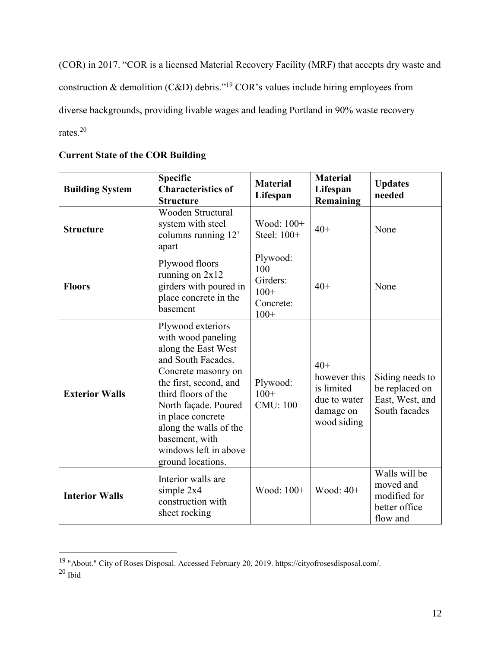(COR) in 2017. "COR is a licensed Material Recovery Facility (MRF) that accepts dry waste and construction & demolition (C&D) debris."<sup>19</sup> COR's values include hiring employees from diverse backgrounds, providing livable wages and leading Portland in 90% waste recovery rates.<sup>20</sup>

| <b>Building System</b> | <b>Specific</b><br><b>Characteristics of</b><br><b>Structure</b>                                                                                                                                                                                                                                    | <b>Material</b><br>Lifespan                                  | <b>Material</b><br>Lifespan<br>Remaining                                        | <b>Updates</b><br>needed                                                |
|------------------------|-----------------------------------------------------------------------------------------------------------------------------------------------------------------------------------------------------------------------------------------------------------------------------------------------------|--------------------------------------------------------------|---------------------------------------------------------------------------------|-------------------------------------------------------------------------|
| <b>Structure</b>       | <b>Wooden Structural</b><br>system with steel<br>columns running 12'<br>apart                                                                                                                                                                                                                       | Wood: 100+<br>Steel: 100+                                    | $40+$                                                                           | None                                                                    |
| <b>Floors</b>          | Plywood floors<br>running on $2x12$<br>girders with poured in<br>place concrete in the<br>basement                                                                                                                                                                                                  | Plywood:<br>100<br>Girders:<br>$100+$<br>Concrete:<br>$100+$ | $40+$                                                                           | None                                                                    |
| <b>Exterior Walls</b>  | Plywood exteriors<br>with wood paneling<br>along the East West<br>and South Facades.<br>Concrete masonry on<br>the first, second, and<br>third floors of the<br>North façade. Poured<br>in place concrete<br>along the walls of the<br>basement, with<br>windows left in above<br>ground locations. | Plywood:<br>$100+$<br>CMU: 100+                              | $40+$<br>however this<br>is limited<br>due to water<br>damage on<br>wood siding | Siding needs to<br>be replaced on<br>East, West, and<br>South facades   |
| <b>Interior Walls</b>  | Interior walls are<br>simple 2x4<br>construction with<br>sheet rocking                                                                                                                                                                                                                              | Wood: 100+                                                   | Wood: $40+$                                                                     | Walls will be<br>moved and<br>modified for<br>better office<br>flow and |

# **Current State of the COR Building**

<sup>&</sup>lt;sup>19</sup> "About." City of Roses Disposal. Accessed February 20, 2019. https://cityofrosesdisposal.com/.

 $20$  Ibid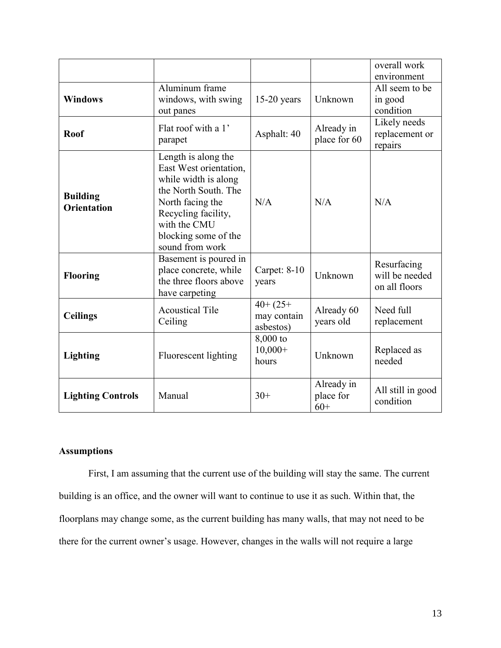|                                       |                                                                                                                                                                                                     |                                         |                                  | overall work<br>environment                    |
|---------------------------------------|-----------------------------------------------------------------------------------------------------------------------------------------------------------------------------------------------------|-----------------------------------------|----------------------------------|------------------------------------------------|
| <b>Windows</b>                        | Aluminum frame<br>windows, with swing<br>out panes                                                                                                                                                  | $15-20$ years                           | Unknown                          | All seem to be<br>in good<br>condition         |
| <b>Roof</b>                           | Flat roof with a 1'<br>parapet                                                                                                                                                                      | Asphalt: 40                             | Already in<br>place for 60       | Likely needs<br>replacement or<br>repairs      |
| <b>Building</b><br><b>Orientation</b> | Length is along the<br>East West orientation,<br>while width is along<br>the North South. The<br>North facing the<br>Recycling facility,<br>with the CMU<br>blocking some of the<br>sound from work | N/A                                     | N/A                              | N/A                                            |
| <b>Flooring</b>                       | Basement is poured in<br>place concrete, while<br>the three floors above<br>have carpeting                                                                                                          | Carpet: $8-10$<br>years                 | Unknown                          | Resurfacing<br>will be needed<br>on all floors |
| <b>Ceilings</b>                       | <b>Acoustical Tile</b><br>Ceiling                                                                                                                                                                   | $40+ (25+)$<br>may contain<br>asbestos) | Already 60<br>years old          | Need full<br>replacement                       |
| <b>Lighting</b>                       | Fluorescent lighting                                                                                                                                                                                | 8,000 to<br>$10,000+$<br>hours          | Unknown                          | Replaced as<br>needed                          |
| <b>Lighting Controls</b>              | Manual                                                                                                                                                                                              | $30+$                                   | Already in<br>place for<br>$60+$ | All still in good<br>condition                 |

# <span id="page-13-0"></span>**Assumptions**

First, I am assuming that the current use of the building will stay the same. The current building is an office, and the owner will want to continue to use it as such. Within that, the floorplans may change some, as the current building has many walls, that may not need to be there for the current owner's usage. However, changes in the walls will not require a large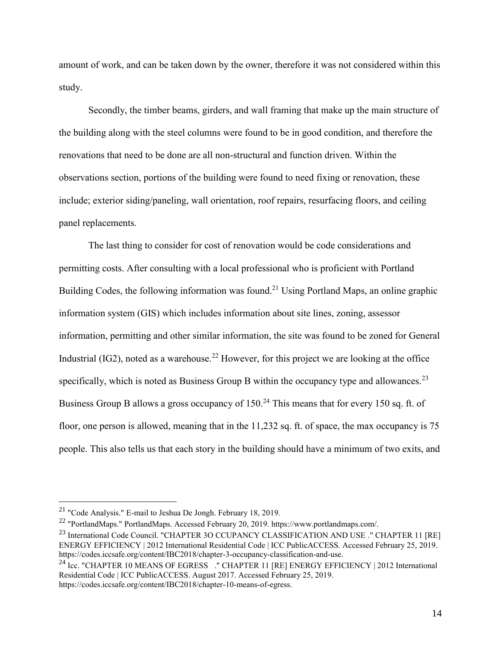amount of work, and can be taken down by the owner, therefore it was not considered within this study.

Secondly, the timber beams, girders, and wall framing that make up the main structure of the building along with the steel columns were found to be in good condition, and therefore the renovations that need to be done are all non-structural and function driven. Within the observations section, portions of the building were found to need fixing or renovation, these include; exterior siding/paneling, wall orientation, roof repairs, resurfacing floors, and ceiling panel replacements.

The last thing to consider for cost of renovation would be code considerations and permitting costs. After consulting with a local professional who is proficient with Portland Building Codes, the following information was found.<sup>21</sup> Using Portland Maps, an online graphic information system (GIS) which includes information about site lines, zoning, assessor information, permitting and other similar information, the site was found to be zoned for General Industrial (IG2), noted as a warehouse.<sup>22</sup> However, for this project we are looking at the office specifically, which is noted as Business Group B within the occupancy type and allowances.<sup>23</sup> Business Group B allows a gross occupancy of  $150<sup>24</sup>$  This means that for every 150 sq. ft. of floor, one person is allowed, meaning that in the 11,232 sq. ft. of space, the max occupancy is 75 people. This also tells us that each story in the building should have a minimum of two exits, and

<sup>21</sup> "Code Analysis." E-mail to Jeshua De Jongh. February 18, 2019.

<sup>22</sup> "PortlandMaps." PortlandMaps. Accessed February 20, 2019. https://www.portlandmaps.com/.

<sup>&</sup>lt;sup>23</sup> International Code Council. "CHAPTER 3O CCUPANCY CLASSIFICATION AND USE ." CHAPTER 11 [RE] ENERGY EFFICIENCY | 2012 International Residential Code | ICC PublicACCESS. Accessed February 25, 2019. https://codes.iccsafe.org/content/IBC2018/chapter-3-occupancy-classification-and-use.

<sup>&</sup>lt;sup>24</sup> Icc. "CHAPTER 10 MEANS OF EGRESS ." CHAPTER 11 [RE] ENERGY EFFICIENCY | 2012 International Residential Code | ICC PublicACCESS. August 2017. Accessed February 25, 2019. https://codes.iccsafe.org/content/IBC2018/chapter-10-means-of-egress.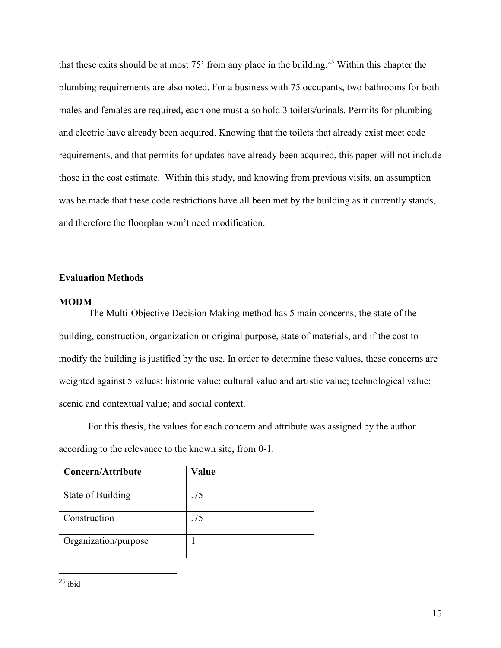that these exits should be at most  $75'$  from any place in the building.<sup>25</sup> Within this chapter the plumbing requirements are also noted. For a business with 75 occupants, two bathrooms for both males and females are required, each one must also hold 3 toilets/urinals. Permits for plumbing and electric have already been acquired. Knowing that the toilets that already exist meet code requirements, and that permits for updates have already been acquired, this paper will not include those in the cost estimate. Within this study, and knowing from previous visits, an assumption was be made that these code restrictions have all been met by the building as it currently stands, and therefore the floorplan won't need modification.

# <span id="page-15-0"></span>**Evaluation Methods**

#### <span id="page-15-1"></span>**MODM**

The Multi-Objective Decision Making method has 5 main concerns; the state of the building, construction, organization or original purpose, state of materials, and if the cost to modify the building is justified by the use. In order to determine these values, these concerns are weighted against 5 values: historic value; cultural value and artistic value; technological value; scenic and contextual value; and social context.

For this thesis, the values for each concern and attribute was assigned by the author according to the relevance to the known site, from 0-1.

| Concern/Attribute    | Value |
|----------------------|-------|
| State of Building    | .75   |
| Construction         | .75   |
| Organization/purpose |       |

<sup>25</sup> ibid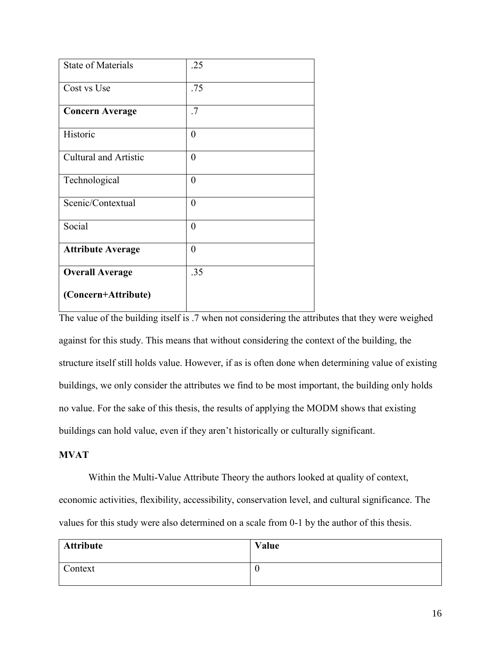| <b>State of Materials</b>    | .25            |
|------------------------------|----------------|
| Cost vs Use                  | .75            |
| <b>Concern Average</b>       | .7             |
| Historic                     | $\theta$       |
| <b>Cultural and Artistic</b> | $\overline{0}$ |
| Technological                | $\overline{0}$ |
| Scenic/Contextual            | $\overline{0}$ |
| Social                       | $\theta$       |
| <b>Attribute Average</b>     | $\overline{0}$ |
| <b>Overall Average</b>       | .35            |
| (Concern+Attribute)          |                |

The value of the building itself is .7 when not considering the attributes that they were weighed against for this study. This means that without considering the context of the building, the structure itself still holds value. However, if as is often done when determining value of existing buildings, we only consider the attributes we find to be most important, the building only holds no value. For the sake of this thesis, the results of applying the MODM shows that existing buildings can hold value, even if they aren't historically or culturally significant.

# <span id="page-16-0"></span>**MVAT**

Within the Multi-Value Attribute Theory the authors looked at quality of context, economic activities, flexibility, accessibility, conservation level, and cultural significance. The values for this study were also determined on a scale from 0-1 by the author of this thesis.

| <b>Attribute</b> | Value |
|------------------|-------|
| Context          |       |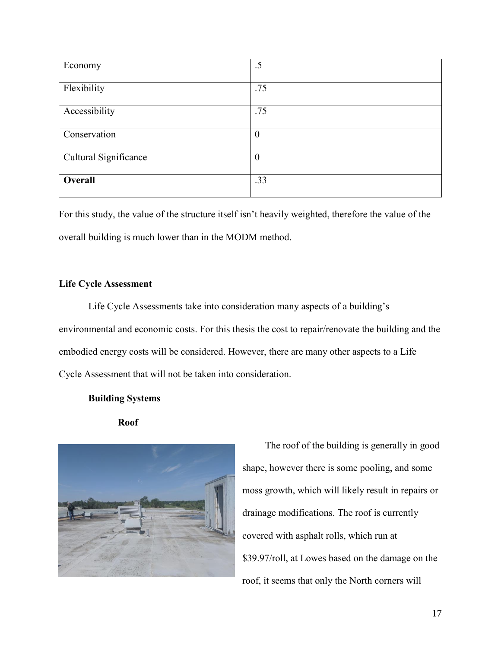| Economy               | .5             |
|-----------------------|----------------|
| Flexibility           | .75            |
|                       |                |
| Accessibility         | .75            |
|                       |                |
| Conservation          | $\overline{0}$ |
|                       |                |
| Cultural Significance | $\overline{0}$ |
|                       |                |
| Overall               | .33            |
|                       |                |

For this study, the value of the structure itself isn't heavily weighted, therefore the value of the overall building is much lower than in the MODM method.

# <span id="page-17-0"></span>**Life Cycle Assessment**

Life Cycle Assessments take into consideration many aspects of a building's environmental and economic costs. For this thesis the cost to repair/renovate the building and the embodied energy costs will be considered. However, there are many other aspects to a Life Cycle Assessment that will not be taken into consideration.

# <span id="page-17-1"></span>**Building Systems**

<span id="page-17-2"></span>



The roof of the building is generally in good shape, however there is some pooling, and some moss growth, which will likely result in repairs or drainage modifications. The roof is currently covered with asphalt rolls, which run at \$39.97/roll, at Lowes based on the damage on the roof, it seems that only the North corners will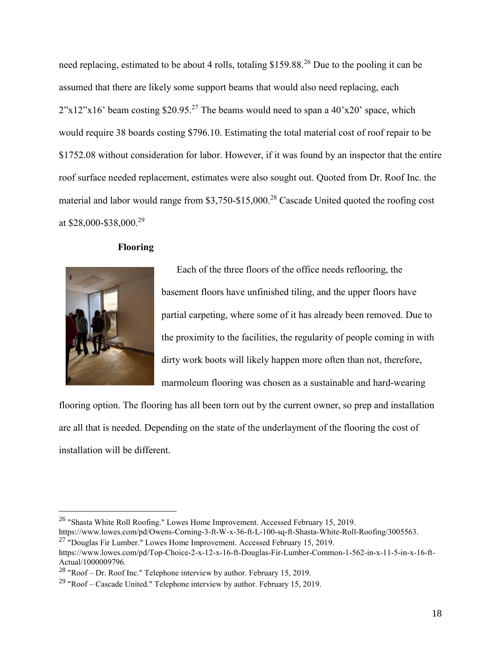need replacing, estimated to be about 4 rolls, totaling \$159.88.<sup>26</sup> Due to the pooling it can be assumed that there are likely some support beams that would also need replacing, each  $2"x12"x16'$  beam costing \$20.95.<sup>27</sup> The beams would need to span a 40'x20' space, which would require 38 boards costing \$796.10. Estimating the total material cost of roof repair to be \$1752.08 without consideration for labor. However, if it was found by an inspector that the entire roof surface needed replacement, estimates were also sought out. Quoted from Dr. Roof Inc. the material and labor would range from \$3,750-\$15,000.<sup>28</sup> Cascade United quoted the roofing cost at \$28,000-\$38,000.<sup>29</sup>

# <span id="page-18-0"></span>**Flooring**



 $\overline{a}$ 

Each of the three floors of the office needs reflooring, the basement floors have unfinished tiling, and the upper floors have partial carpeting, where some of it has already been removed. Due to the proximity to the facilities, the regularity of people coming in with dirty work boots will likely happen more often than not, therefore, marmoleum flooring was chosen as a sustainable and hard-wearing

flooring option. The flooring has all been torn out by the current owner, so prep and installation are all that is needed. Depending on the state of the underlayment of the flooring the cost of installation will be different.

<sup>26</sup> "Shasta White Roll Roofing." Lowes Home Improvement. Accessed February 15, 2019.

https://www.lowes.com/pd/Owens-Corning-3-ft-W-x-36-ft-L-100-sq-ft-Shasta-White-Roll-Roofing/3005563.  $27$  "Douglas Fir Lumber." Lowes Home Improvement. Accessed February 15, 2019.

https://www.lowes.com/pd/Top-Choice-2-x-12-x-16-ft-Douglas-Fir-Lumber-Common-1-562-in-x-11-5-in-x-16-ft-Actual/1000009796.

 $^{28}$  "Roof – Dr. Roof Inc." Telephone interview by author. February 15, 2019.

<sup>&</sup>lt;sup>29</sup> "Roof – Cascade United." Telephone interview by author. February 15, 2019.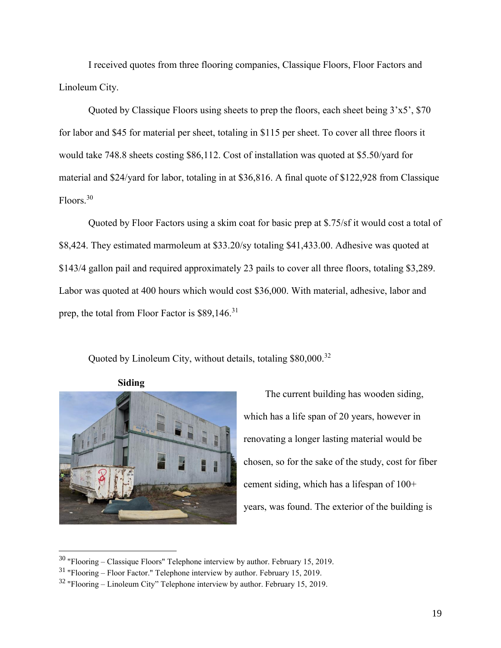I received quotes from three flooring companies, Classique Floors, Floor Factors and Linoleum City.

Quoted by Classique Floors using sheets to prep the floors, each sheet being 3'x5', \$70 for labor and \$45 for material per sheet, totaling in \$115 per sheet. To cover all three floors it would take 748.8 sheets costing \$86,112. Cost of installation was quoted at \$5.50/yard for material and \$24/yard for labor, totaling in at \$36,816. A final quote of \$122,928 from Classique Floors.<sup>30</sup>

Quoted by Floor Factors using a skim coat for basic prep at \$.75/sf it would cost a total of \$8,424. They estimated marmoleum at \$33.20/sy totaling \$41,433.00. Adhesive was quoted at \$143/4 gallon pail and required approximately 23 pails to cover all three floors, totaling \$3,289. Labor was quoted at 400 hours which would cost \$36,000. With material, adhesive, labor and prep, the total from Floor Factor is \$89,146.<sup>31</sup>

Quoted by Linoleum City, without details, totaling \$80,000.<sup>32</sup>



 $\overline{a}$ 

<span id="page-19-0"></span>**Siding**

The current building has wooden siding, which has a life span of 20 years, however in renovating a longer lasting material would be chosen, so for the sake of the study, cost for fiber cement siding, which has a lifespan of 100+ years, was found. The exterior of the building is

 $30$  "Flooring – Classique Floors" Telephone interview by author. February 15, 2019.

<sup>31</sup> "Flooring – Floor Factor." Telephone interview by author. February 15, 2019.

 $32$  "Flooring – Linoleum City" Telephone interview by author. February 15, 2019.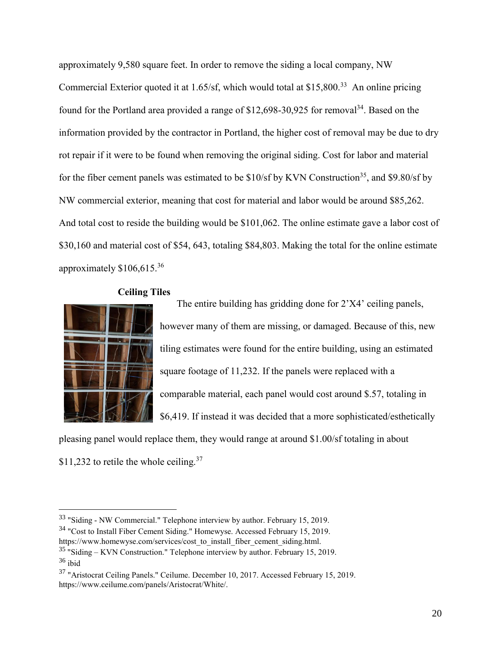approximately 9,580 square feet. In order to remove the siding a local company, NW Commercial Exterior quoted it at 1.65/sf, which would total at \$15,800.<sup>33</sup> An online pricing found for the Portland area provided a range of \$12,698-30,925 for removal<sup>34</sup>. Based on the information provided by the contractor in Portland, the higher cost of removal may be due to dry rot repair if it were to be found when removing the original siding. Cost for labor and material for the fiber cement panels was estimated to be  $$10/sf$  by KVN Construction<sup>35</sup>, and  $$9.80/sf$  by NW commercial exterior, meaning that cost for material and labor would be around \$85,262. And total cost to reside the building would be \$101,062. The online estimate gave a labor cost of \$30,160 and material cost of \$54, 643, totaling \$84,803. Making the total for the online estimate approximately  $$106,615.^{36}$ 



 $\overline{a}$ 

### <span id="page-20-0"></span>**Ceiling Tiles**

The entire building has gridding done for 2'X4' ceiling panels, however many of them are missing, or damaged. Because of this, new tiling estimates were found for the entire building, using an estimated square footage of 11,232. If the panels were replaced with a comparable material, each panel would cost around \$.57, totaling in \$6,419. If instead it was decided that a more sophisticated/esthetically

pleasing panel would replace them, they would range at around \$1.00/sf totaling in about  $$11,232$  to retile the whole ceiling.<sup>37</sup>

<sup>33</sup> "Siding - NW Commercial." Telephone interview by author. February 15, 2019.

<sup>&</sup>lt;sup>34</sup> "Cost to Install Fiber Cement Siding." Homewyse. Accessed February 15, 2019.

https://www.homewyse.com/services/cost\_to\_install\_fiber\_cement\_siding.html.

 $35$  "Siding – KVN Construction." Telephone interview by author. February 15, 2019. <sup>36</sup> ibid

<sup>37</sup> "Aristocrat Ceiling Panels." Ceilume. December 10, 2017. Accessed February 15, 2019. https://www.ceilume.com/panels/Aristocrat/White/.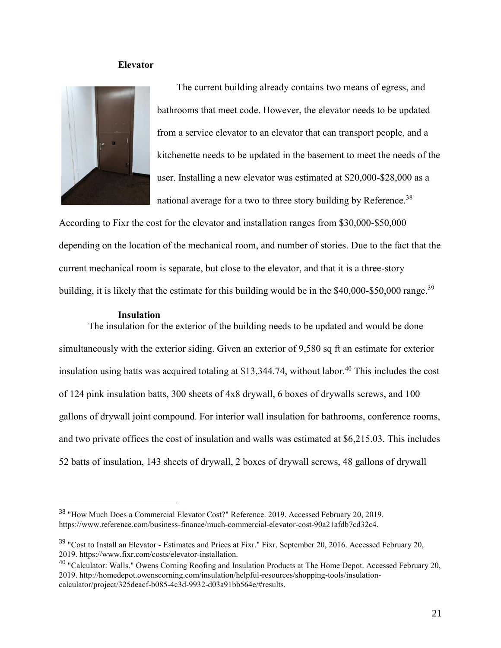# <span id="page-21-0"></span>**Elevator**



The current building already contains two means of egress, and bathrooms that meet code. However, the elevator needs to be updated from a service elevator to an elevator that can transport people, and a kitchenette needs to be updated in the basement to meet the needs of the user. Installing a new elevator was estimated at \$20,000-\$28,000 as a national average for a two to three story building by Reference.<sup>38</sup>

According to Fixr the cost for the elevator and installation ranges from \$30,000-\$50,000 depending on the location of the mechanical room, and number of stories. Due to the fact that the current mechanical room is separate, but close to the elevator, and that it is a three-story building, it is likely that the estimate for this building would be in the  $$40,000$ - $$50,000$  range.<sup>39</sup>

### <span id="page-21-1"></span>**Insulation**

 $\overline{a}$ 

The insulation for the exterior of the building needs to be updated and would be done simultaneously with the exterior siding. Given an exterior of 9,580 sq ft an estimate for exterior insulation using batts was acquired totaling at \$13,344.74, without labor.<sup>40</sup> This includes the cost of 124 pink insulation batts, 300 sheets of 4x8 drywall, 6 boxes of drywalls screws, and 100 gallons of drywall joint compound. For interior wall insulation for bathrooms, conference rooms, and two private offices the cost of insulation and walls was estimated at \$6,215.03. This includes 52 batts of insulation, 143 sheets of drywall, 2 boxes of drywall screws, 48 gallons of drywall

<sup>38</sup> "How Much Does a Commercial Elevator Cost?" Reference. 2019. Accessed February 20, 2019. https://www.reference.com/business-finance/much-commercial-elevator-cost-90a21afdb7cd32c4.

<sup>&</sup>lt;sup>39</sup> "Cost to Install an Elevator - Estimates and Prices at Fixr." Fixr. September 20, 2016. Accessed February 20, 2019. https://www.fixr.com/costs/elevator-installation.

<sup>&</sup>lt;sup>40</sup> "Calculator: Walls." Owens Corning Roofing and Insulation Products at The Home Depot. Accessed February 20, 2019. http://homedepot.owenscorning.com/insulation/helpful-resources/shopping-tools/insulationcalculator/project/325deacf-b085-4c3d-9932-d03a91bb564e/#results.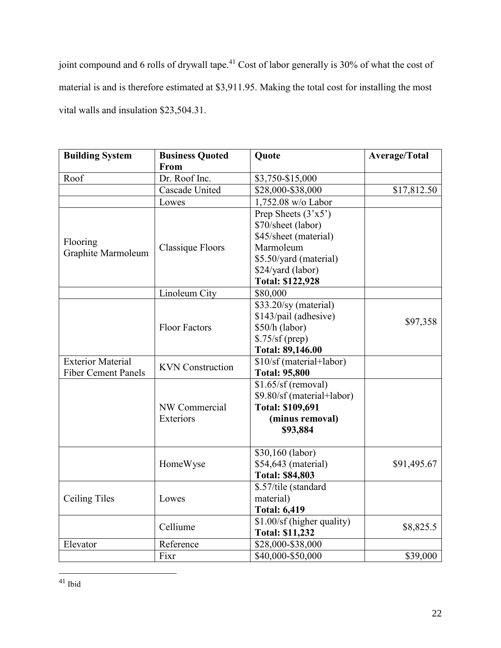joint compound and 6 rolls of drywall tape.<sup>41</sup> Cost of labor generally is 30% of what the cost of material is and is therefore estimated at \$3,911.95. Making the total cost for installing the most vital walls and insulation \$23,504.31.

| <b>Building System</b>     | <b>Business Quoted</b><br>From | Quote                       | <b>Average/Total</b> |
|----------------------------|--------------------------------|-----------------------------|----------------------|
| Roof                       | Dr. Roof Inc.                  | \$3,750-\$15,000            |                      |
|                            | Cascade United                 | \$28,000-\$38,000           | \$17,812.50          |
|                            | Lowes                          | 1,752.08 w/o Labor          |                      |
|                            |                                | Prep Sheets $(3'x5')$       |                      |
|                            |                                | \$70/sheet (labor)          |                      |
|                            |                                | \$45/sheet (material)       |                      |
| Flooring                   | Classique Floors               | Marmoleum                   |                      |
| Graphite Marmoleum         |                                | \$5.50/yard (material)      |                      |
|                            |                                | \$24/yard (labor)           |                      |
|                            |                                | <b>Total: \$122,928</b>     |                      |
|                            | Linoleum City                  | \$80,000                    |                      |
|                            |                                | \$33.20/sy (material)       |                      |
|                            |                                | \$143/pail (adhesive)       |                      |
|                            | <b>Floor Factors</b>           | \$50/h (labor)              | \$97,358             |
|                            |                                | $$.75/sf$ (prep)            |                      |
|                            |                                | Total: 89,146.00            |                      |
| <b>Exterior Material</b>   |                                | \$10/sf (material+labor)    |                      |
| <b>Fiber Cement Panels</b> | <b>KVN</b> Construction        | <b>Total: 95,800</b>        |                      |
|                            |                                | \$1.65/sf (removal)         |                      |
|                            |                                | \$9.80/sf (material+labor)  |                      |
|                            | NW Commercial                  | <b>Total: \$109,691</b>     |                      |
|                            | Exteriors                      | (minus removal)<br>\$93,884 |                      |
|                            |                                | \$30,160 (labor)            |                      |
|                            | HomeWyse                       | \$54,643 (material)         | \$91,495.67          |
|                            |                                | <b>Total: \$84,803</b>      |                      |
|                            |                                | \$.57/tile (standard        |                      |
| Ceiling Tiles              | Lowes                          | material)                   |                      |
|                            |                                | <b>Total: 6,419</b>         |                      |
|                            |                                | \$1.00/sf (higher quality)  |                      |
|                            | Celliume                       | <b>Total: \$11,232</b>      | \$8,825.5            |
| Elevator                   | Reference                      | \$28,000-\$38,000           |                      |
|                            | Fixr                           | \$40,000-\$50,000           | \$39,000             |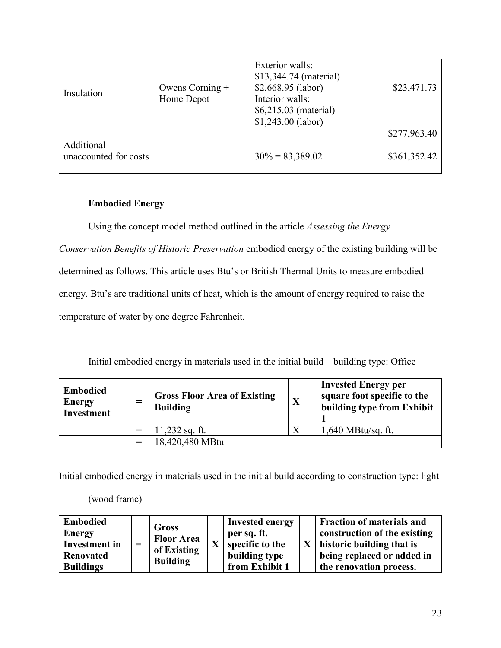| Insulation                          | Owens Corning +<br>Home Depot | <b>Exterior</b> walls:<br>\$13,344.74 (material)<br>$$2,668.95$ (labor)<br>Interior walls:<br>\$6,215.03 (material)<br>$$1,243.00$ (labor) | \$23,471.73  |
|-------------------------------------|-------------------------------|--------------------------------------------------------------------------------------------------------------------------------------------|--------------|
|                                     |                               |                                                                                                                                            | \$277,963.40 |
| Additional<br>unaccounted for costs |                               | $30\% = 83,389.02$                                                                                                                         | \$361,352.42 |

# <span id="page-23-0"></span>**Embodied Energy**

Using the concept model method outlined in the article *Assessing the Energy* 

*Conservation Benefits of Historic Preservation* embodied energy of the existing building will be determined as follows. This article uses Btu's or British Thermal Units to measure embodied energy. Btu's are traditional units of heat, which is the amount of energy required to raise the temperature of water by one degree Fahrenheit.

Initial embodied energy in materials used in the initial build – building type: Office

| <b>Embodied</b><br>Energy<br><b>Investment</b> | =   | <b>Gross Floor Area of Existing</b><br><b>Building</b> | X | <b>Invested Energy per</b><br>square foot specific to the<br>building type from Exhibit |
|------------------------------------------------|-----|--------------------------------------------------------|---|-----------------------------------------------------------------------------------------|
|                                                |     | 11,232 sq. ft.                                         | X | $1,640$ MBtu/sq. ft.                                                                    |
|                                                | $=$ | 18,420,480 MBtu                                        |   |                                                                                         |

Initial embodied energy in materials used in the initial build according to construction type: light

(wood frame)

| <b>Embodied</b><br><b>Energy</b><br>Investment in<br><b>Renovated</b><br><b>Buildings</b> | $=$ | Gross<br><b>Floor Area</b><br>of Existing<br><b>Building</b> | $\mathbf{X}$ | <b>Invested energy</b><br>per sq. ft.<br>specific to the<br>building type<br>from Exhibit 1 | $\mathbf{X}$ | <b>Fraction of materials and</b><br>construction of the existing<br>historic building that is<br>being replaced or added in<br>the renovation process. |
|-------------------------------------------------------------------------------------------|-----|--------------------------------------------------------------|--------------|---------------------------------------------------------------------------------------------|--------------|--------------------------------------------------------------------------------------------------------------------------------------------------------|
|-------------------------------------------------------------------------------------------|-----|--------------------------------------------------------------|--------------|---------------------------------------------------------------------------------------------|--------------|--------------------------------------------------------------------------------------------------------------------------------------------------------|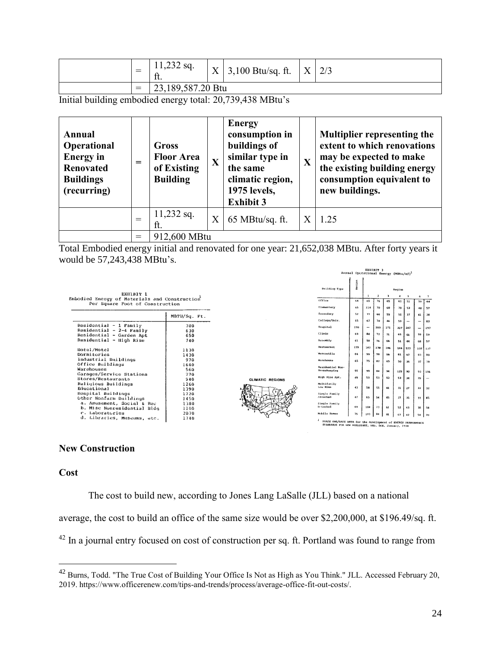| $\overline{\phantom{a}}$ | 11,232 sq.<br>ft. | $\mathbf v$<br>$\Lambda$ | $3,100$ Btu/sq. ft. | X | 2/3 |
|--------------------------|-------------------|--------------------------|---------------------|---|-----|
| $=$                      | 23,189,587.20 Btu |                          |                     |   |     |

Initial building embodied energy total: 20,739,438 MBtu's

| Annual<br>Operational<br><b>Energy</b> in<br><b>Renovated</b><br><b>Buildings</b><br>(recurring) | $=$ | Gross<br><b>Floor Area</b><br>of Existing<br><b>Building</b> | X       | <b>Energy</b><br>consumption in<br>buildings of<br>similar type in<br>the same<br>climatic region,<br>1975 levels,<br><b>Exhibit 3</b> | X | <b>Multiplier representing the</b><br>extent to which renovations<br>may be expected to make<br>the existing building energy<br>consumption equivalent to<br>new buildings. |  |
|--------------------------------------------------------------------------------------------------|-----|--------------------------------------------------------------|---------|----------------------------------------------------------------------------------------------------------------------------------------|---|-----------------------------------------------------------------------------------------------------------------------------------------------------------------------------|--|
|                                                                                                  | $=$ | $11,232$ sq.<br>ft.                                          | $\rm X$ | 65 MBtu/sq. ft.                                                                                                                        | X | 1.25                                                                                                                                                                        |  |
|                                                                                                  | $=$ | 912,600 MBtu                                                 |         |                                                                                                                                        |   |                                                                                                                                                                             |  |

Total Embodied energy initial and renovated for one year: 21,652,038 MBtu. After forty years it would be 57,243,438 MBtu's.



# <span id="page-24-0"></span>**New Construction**

# <span id="page-24-1"></span>**Cost**

 $\overline{a}$ 

The cost to build new, according to Jones Lang LaSalle (JLL) based on a national

average, the cost to build an office of the same size would be over \$2,200,000, at \$196.49/sq. ft.

<sup>42</sup> In a journal entry focused on cost of construction per sq. ft. Portland was found to range from

<sup>&</sup>lt;sup>42</sup> Burns, Todd. "The True Cost of Building Your Office Is Not as High as You Think." JLL. Accessed February 20, 2019. https://www.officerenew.com/tips-and-trends/process/average-office-fit-out-costs/.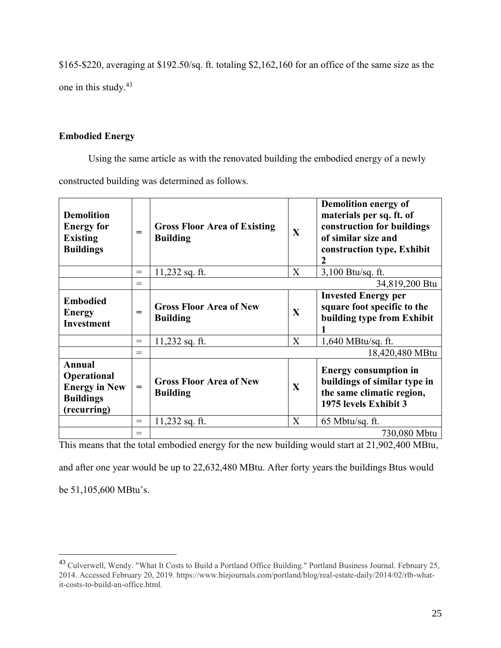\$165-\$220, averaging at \$192.50/sq. ft. totaling \$2,162,160 for an office of the same size as the one in this study.<sup>43</sup>

# <span id="page-25-0"></span>**Embodied Energy**

Using the same article as with the renovated building the embodied energy of a newly constructed building was determined as follows.

| <b>Demolition</b><br><b>Energy for</b><br><b>Existing</b><br><b>Buildings</b>                  | $=$ | <b>Gross Floor Area of Existing</b><br><b>Building</b> | X            | Demolition energy of<br>materials per sq. ft. of<br>construction for buildings<br>of similar size and<br>construction type, Exhibit<br>2 |
|------------------------------------------------------------------------------------------------|-----|--------------------------------------------------------|--------------|------------------------------------------------------------------------------------------------------------------------------------------|
|                                                                                                | $=$ | 11,232 sq. ft.                                         | X            | 3,100 Btu/sq. ft.                                                                                                                        |
|                                                                                                | $=$ |                                                        |              | 34,819,200 Btu                                                                                                                           |
| <b>Embodied</b><br><b>Energy</b><br><b>Investment</b>                                          | $=$ | <b>Gross Floor Area of New</b><br><b>Building</b>      | X            | <b>Invested Energy per</b><br>square foot specific to the<br>building type from Exhibit                                                  |
|                                                                                                | $=$ | $11,232$ sq. ft.                                       | X            | 1,640 MBtu/sq. ft.                                                                                                                       |
|                                                                                                | $=$ |                                                        |              | 18,420,480 MBtu                                                                                                                          |
| <b>Annual</b><br><b>Operational</b><br><b>Energy in New</b><br><b>Buildings</b><br>(recurring) | $=$ | <b>Gross Floor Area of New</b><br><b>Building</b>      | $\mathbf{X}$ | <b>Energy consumption in</b><br>buildings of similar type in<br>the same climatic region,<br>1975 levels Exhibit 3                       |
|                                                                                                | $=$ | 11,232 sq. ft.                                         | X            | $65$ Mbtu/sq. ft.                                                                                                                        |
|                                                                                                | $=$ |                                                        |              | 730,080 Mbtu                                                                                                                             |

This means that the total embodied energy for the new building would start at 21,902,400 MBtu,

and after one year would be up to 22,632,480 MBtu. After forty years the buildings Btus would

be 51,105,600 MBtu's.

<sup>43</sup> Culverwell, Wendy. "What It Costs to Build a Portland Office Building." Portland Business Journal. February 25, 2014. Accessed February 20, 2019. https://www.bizjournals.com/portland/blog/real-estate-daily/2014/02/rlb-whatit-costs-to-build-an-office.html.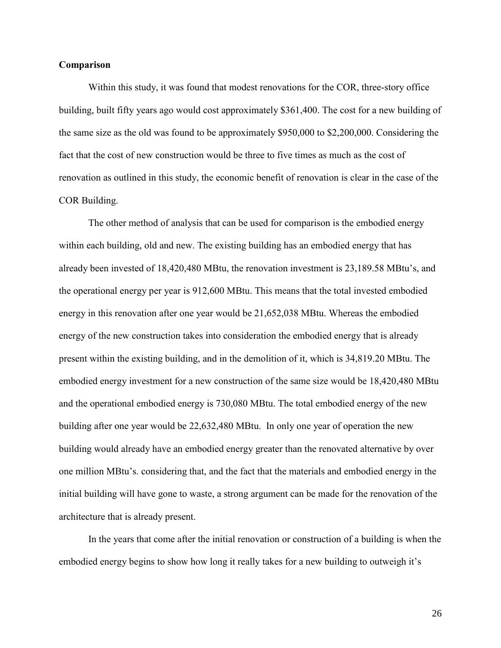# <span id="page-26-0"></span>**Comparison**

Within this study, it was found that modest renovations for the COR, three-story office building, built fifty years ago would cost approximately \$361,400. The cost for a new building of the same size as the old was found to be approximately \$950,000 to \$2,200,000. Considering the fact that the cost of new construction would be three to five times as much as the cost of renovation as outlined in this study, the economic benefit of renovation is clear in the case of the COR Building.

The other method of analysis that can be used for comparison is the embodied energy within each building, old and new. The existing building has an embodied energy that has already been invested of 18,420,480 MBtu, the renovation investment is 23,189.58 MBtu's, and the operational energy per year is 912,600 MBtu. This means that the total invested embodied energy in this renovation after one year would be 21,652,038 MBtu. Whereas the embodied energy of the new construction takes into consideration the embodied energy that is already present within the existing building, and in the demolition of it, which is 34,819.20 MBtu. The embodied energy investment for a new construction of the same size would be 18,420,480 MBtu and the operational embodied energy is 730,080 MBtu. The total embodied energy of the new building after one year would be 22,632,480 MBtu. In only one year of operation the new building would already have an embodied energy greater than the renovated alternative by over one million MBtu's. considering that, and the fact that the materials and embodied energy in the initial building will have gone to waste, a strong argument can be made for the renovation of the architecture that is already present.

In the years that come after the initial renovation or construction of a building is when the embodied energy begins to show how long it really takes for a new building to outweigh it's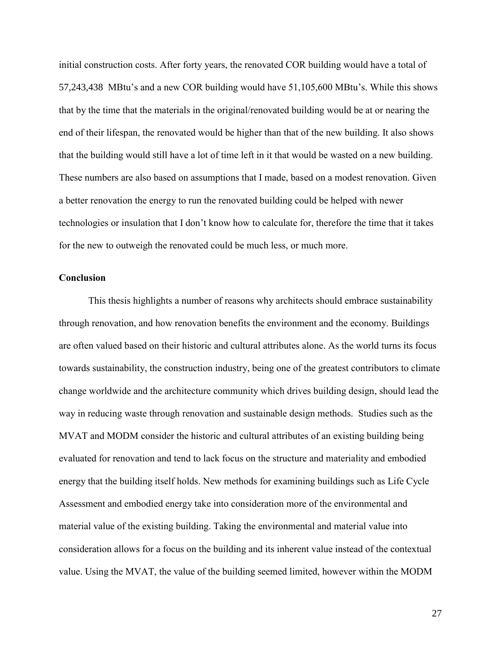initial construction costs. After forty years, the renovated COR building would have a total of 57,243,438 MBtu's and a new COR building would have 51,105,600 MBtu's. While this shows that by the time that the materials in the original/renovated building would be at or nearing the end of their lifespan, the renovated would be higher than that of the new building. It also shows that the building would still have a lot of time left in it that would be wasted on a new building. These numbers are also based on assumptions that I made, based on a modest renovation. Given a better renovation the energy to run the renovated building could be helped with newer technologies or insulation that I don't know how to calculate for, therefore the time that it takes for the new to outweigh the renovated could be much less, or much more.

## <span id="page-27-0"></span>**Conclusion**

This thesis highlights a number of reasons why architects should embrace sustainability through renovation, and how renovation benefits the environment and the economy. Buildings are often valued based on their historic and cultural attributes alone. As the world turns its focus towards sustainability, the construction industry, being one of the greatest contributors to climate change worldwide and the architecture community which drives building design, should lead the way in reducing waste through renovation and sustainable design methods. Studies such as the MVAT and MODM consider the historic and cultural attributes of an existing building being evaluated for renovation and tend to lack focus on the structure and materiality and embodied energy that the building itself holds. New methods for examining buildings such as Life Cycle Assessment and embodied energy take into consideration more of the environmental and material value of the existing building. Taking the environmental and material value into consideration allows for a focus on the building and its inherent value instead of the contextual value. Using the MVAT, the value of the building seemed limited, however within the MODM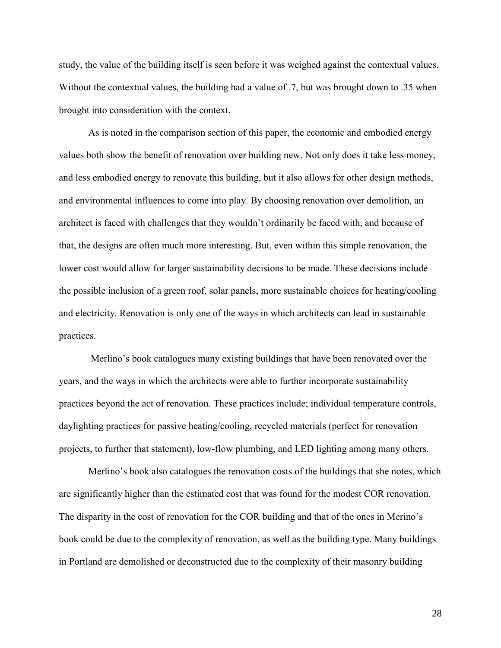study, the value of the building itself is seen before it was weighed against the contextual values. Without the contextual values, the building had a value of .7, but was brought down to .35 when brought into consideration with the context.

As is noted in the comparison section of this paper, the economic and embodied energy values both show the benefit of renovation over building new. Not only does it take less money, and less embodied energy to renovate this building, but it also allows for other design methods, and environmental influences to come into play. By choosing renovation over demolition, an architect is faced with challenges that they wouldn't ordinarily be faced with, and because of that, the designs are often much more interesting. But, even within this simple renovation, the lower cost would allow for larger sustainability decisions to be made. These decisions include the possible inclusion of a green roof, solar panels, more sustainable choices for heating/cooling and electricity. Renovation is only one of the ways in which architects can lead in sustainable practices.

Merlino's book catalogues many existing buildings that have been renovated over the years, and the ways in which the architects were able to further incorporate sustainability practices beyond the act of renovation. These practices include; individual temperature controls, daylighting practices for passive heating/cooling, recycled materials (perfect for renovation projects, to further that statement), low-flow plumbing, and LED lighting among many others.

Merlino's book also catalogues the renovation costs of the buildings that she notes, which are significantly higher than the estimated cost that was found for the modest COR renovation. The disparity in the cost of renovation for the COR building and that of the ones in Merino's book could be due to the complexity of renovation, as well as the building type. Many buildings in Portland are demolished or deconstructed due to the complexity of their masonry building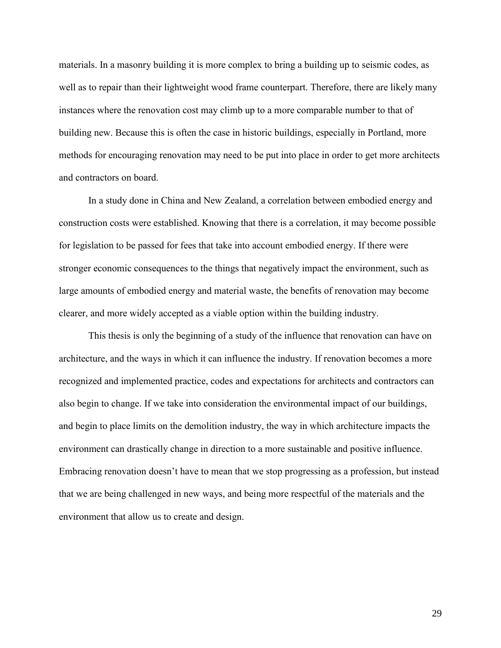materials. In a masonry building it is more complex to bring a building up to seismic codes, as well as to repair than their lightweight wood frame counterpart. Therefore, there are likely many instances where the renovation cost may climb up to a more comparable number to that of building new. Because this is often the case in historic buildings, especially in Portland, more methods for encouraging renovation may need to be put into place in order to get more architects and contractors on board.

In a study done in China and New Zealand, a correlation between embodied energy and construction costs were established. Knowing that there is a correlation, it may become possible for legislation to be passed for fees that take into account embodied energy. If there were stronger economic consequences to the things that negatively impact the environment, such as large amounts of embodied energy and material waste, the benefits of renovation may become clearer, and more widely accepted as a viable option within the building industry.

This thesis is only the beginning of a study of the influence that renovation can have on architecture, and the ways in which it can influence the industry. If renovation becomes a more recognized and implemented practice, codes and expectations for architects and contractors can also begin to change. If we take into consideration the environmental impact of our buildings, and begin to place limits on the demolition industry, the way in which architecture impacts the environment can drastically change in direction to a more sustainable and positive influence. Embracing renovation doesn't have to mean that we stop progressing as a profession, but instead that we are being challenged in new ways, and being more respectful of the materials and the environment that allow us to create and design.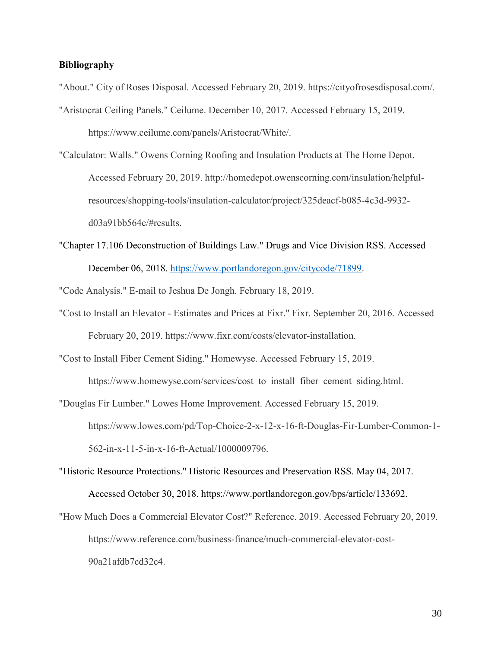# <span id="page-30-0"></span>**Bibliography**

- "About." City of Roses Disposal. Accessed February 20, 2019. https://cityofrosesdisposal.com/.
- "Aristocrat Ceiling Panels." Ceilume. December 10, 2017. Accessed February 15, 2019. https://www.ceilume.com/panels/Aristocrat/White/.
- "Calculator: Walls." Owens Corning Roofing and Insulation Products at The Home Depot. Accessed February 20, 2019. http://homedepot.owenscorning.com/insulation/helpfulresources/shopping-tools/insulation-calculator/project/325deacf-b085-4c3d-9932 d03a91bb564e/#results.
- "Chapter 17.106 Deconstruction of Buildings Law." Drugs and Vice Division RSS. Accessed December 06, 2018. [https://www.portlandoregon.gov/citycode/71899.](https://www.portlandoregon.gov/citycode/71899)

"Code Analysis." E-mail to Jeshua De Jongh. February 18, 2019.

- "Cost to Install an Elevator Estimates and Prices at Fixr." Fixr. September 20, 2016. Accessed February 20, 2019. https://www.fixr.com/costs/elevator-installation.
- "Cost to Install Fiber Cement Siding." Homewyse. Accessed February 15, 2019.

https://www.homewyse.com/services/cost\_to\_install\_fiber\_cement\_siding.html.

- "Douglas Fir Lumber." Lowes Home Improvement. Accessed February 15, 2019. https://www.lowes.com/pd/Top-Choice-2-x-12-x-16-ft-Douglas-Fir-Lumber-Common-1- 562-in-x-11-5-in-x-16-ft-Actual/1000009796.
- "Historic Resource Protections." Historic Resources and Preservation RSS. May 04, 2017. Accessed October 30, 2018. https://www.portlandoregon.gov/bps/article/133692.
- "How Much Does a Commercial Elevator Cost?" Reference. 2019. Accessed February 20, 2019. https://www.reference.com/business-finance/much-commercial-elevator-cost-90a21afdb7cd32c4.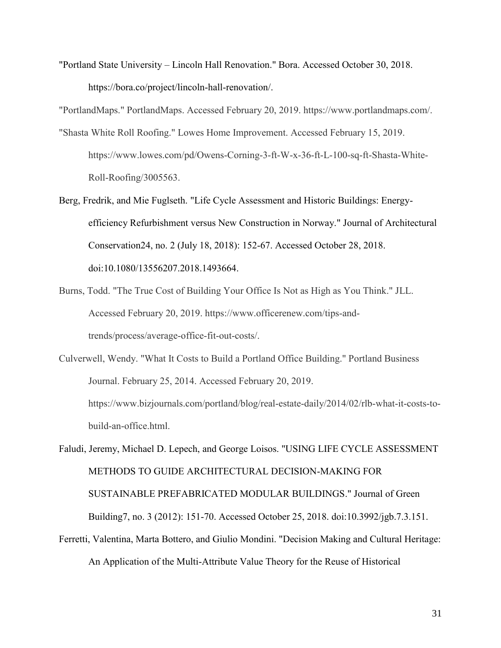"Portland State University – Lincoln Hall Renovation." Bora. Accessed October 30, 2018. https://bora.co/project/lincoln-hall-renovation/.

"PortlandMaps." PortlandMaps. Accessed February 20, 2019. https://www.portlandmaps.com/.

- "Shasta White Roll Roofing." Lowes Home Improvement. Accessed February 15, 2019. https://www.lowes.com/pd/Owens-Corning-3-ft-W-x-36-ft-L-100-sq-ft-Shasta-White-Roll-Roofing/3005563.
- Berg, Fredrik, and Mie Fuglseth. "Life Cycle Assessment and Historic Buildings: Energyefficiency Refurbishment versus New Construction in Norway." Journal of Architectural Conservation24, no. 2 (July 18, 2018): 152-67. Accessed October 28, 2018. doi:10.1080/13556207.2018.1493664.
- Burns, Todd. "The True Cost of Building Your Office Is Not as High as You Think." JLL. Accessed February 20, 2019. https://www.officerenew.com/tips-andtrends/process/average-office-fit-out-costs/.
- Culverwell, Wendy. "What It Costs to Build a Portland Office Building." Portland Business Journal. February 25, 2014. Accessed February 20, 2019. https://www.bizjournals.com/portland/blog/real-estate-daily/2014/02/rlb-what-it-costs-tobuild-an-office.html.

Faludi, Jeremy, Michael D. Lepech, and George Loisos. "USING LIFE CYCLE ASSESSMENT METHODS TO GUIDE ARCHITECTURAL DECISION-MAKING FOR SUSTAINABLE PREFABRICATED MODULAR BUILDINGS." Journal of Green Building7, no. 3 (2012): 151-70. Accessed October 25, 2018. doi:10.3992/jgb.7.3.151.

Ferretti, Valentina, Marta Bottero, and Giulio Mondini. "Decision Making and Cultural Heritage: An Application of the Multi-Attribute Value Theory for the Reuse of Historical